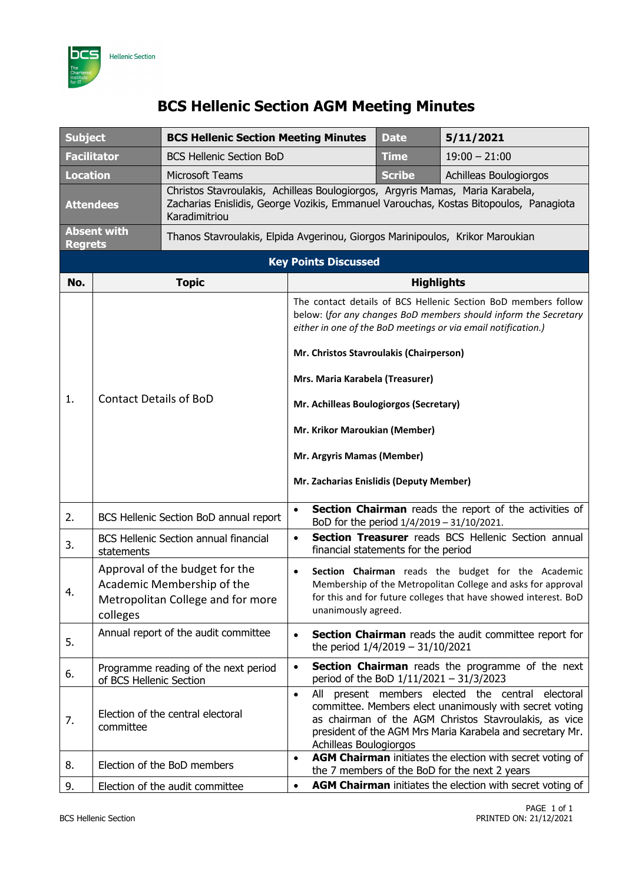

## **BCS Hellenic Section AGM Meeting Minutes**

| <b>Subject</b>                       |                                                                                                               | <b>BCS Hellenic Section Meeting Minutes</b>                                                                                                                                             |                                                                                                                                                                                                                                               | <b>Date</b>                         | 5/11/2021                                                                                                                                                                                                                      |  |  |
|--------------------------------------|---------------------------------------------------------------------------------------------------------------|-----------------------------------------------------------------------------------------------------------------------------------------------------------------------------------------|-----------------------------------------------------------------------------------------------------------------------------------------------------------------------------------------------------------------------------------------------|-------------------------------------|--------------------------------------------------------------------------------------------------------------------------------------------------------------------------------------------------------------------------------|--|--|
| <b>Facilitator</b>                   |                                                                                                               | <b>BCS Hellenic Section BoD</b>                                                                                                                                                         |                                                                                                                                                                                                                                               | Time                                | $19:00 - 21:00$                                                                                                                                                                                                                |  |  |
| <b>Location</b>                      |                                                                                                               | <b>Microsoft Teams</b>                                                                                                                                                                  |                                                                                                                                                                                                                                               | <b>Scribe</b>                       | Achilleas Boulogiorgos                                                                                                                                                                                                         |  |  |
| <b>Attendees</b>                     |                                                                                                               | Christos Stavroulakis, Achilleas Boulogiorgos, Argyris Mamas, Maria Karabela,<br>Zacharias Enislidis, George Vozikis, Emmanuel Varouchas, Kostas Bitopoulos, Panagiota<br>Karadimitriou |                                                                                                                                                                                                                                               |                                     |                                                                                                                                                                                                                                |  |  |
| <b>Absent with</b><br><b>Regrets</b> |                                                                                                               | Thanos Stavroulakis, Elpida Avgerinou, Giorgos Marinipoulos, Krikor Maroukian                                                                                                           |                                                                                                                                                                                                                                               |                                     |                                                                                                                                                                                                                                |  |  |
| <b>Key Points Discussed</b>          |                                                                                                               |                                                                                                                                                                                         |                                                                                                                                                                                                                                               |                                     |                                                                                                                                                                                                                                |  |  |
| No.                                  |                                                                                                               | <b>Topic</b>                                                                                                                                                                            |                                                                                                                                                                                                                                               | <b>Highlights</b>                   |                                                                                                                                                                                                                                |  |  |
|                                      | <b>Contact Details of BoD</b>                                                                                 |                                                                                                                                                                                         | The contact details of BCS Hellenic Section BoD members follow<br>below: (for any changes BoD members should inform the Secretary<br>either in one of the BoD meetings or via email notification.)<br>Mr. Christos Stavroulakis (Chairperson) |                                     |                                                                                                                                                                                                                                |  |  |
|                                      |                                                                                                               |                                                                                                                                                                                         | Mrs. Maria Karabela (Treasurer)                                                                                                                                                                                                               |                                     |                                                                                                                                                                                                                                |  |  |
| 1.                                   |                                                                                                               |                                                                                                                                                                                         | Mr. Achilleas Boulogiorgos (Secretary)                                                                                                                                                                                                        |                                     |                                                                                                                                                                                                                                |  |  |
|                                      |                                                                                                               |                                                                                                                                                                                         | Mr. Krikor Maroukian (Member)                                                                                                                                                                                                                 |                                     |                                                                                                                                                                                                                                |  |  |
|                                      |                                                                                                               |                                                                                                                                                                                         | Mr. Argyris Mamas (Member)                                                                                                                                                                                                                    |                                     |                                                                                                                                                                                                                                |  |  |
|                                      |                                                                                                               |                                                                                                                                                                                         | Mr. Zacharias Enislidis (Deputy Member)                                                                                                                                                                                                       |                                     |                                                                                                                                                                                                                                |  |  |
| 2.                                   | BCS Hellenic Section BoD annual report                                                                        |                                                                                                                                                                                         | Section Chairman reads the report of the activities of<br>$\bullet$<br>BoD for the period 1/4/2019 - 31/10/2021.                                                                                                                              |                                     |                                                                                                                                                                                                                                |  |  |
| 3.                                   | <b>BCS Hellenic Section annual financial</b><br>statements                                                    |                                                                                                                                                                                         | $\bullet$                                                                                                                                                                                                                                     | financial statements for the period | Section Treasurer reads BCS Hellenic Section annual                                                                                                                                                                            |  |  |
| 4.                                   | Approval of the budget for the<br>Academic Membership of the<br>Metropolitan College and for more<br>colleges |                                                                                                                                                                                         | unanimously agreed.                                                                                                                                                                                                                           |                                     | Section Chairman reads the budget for the Academic<br>Membership of the Metropolitan College and asks for approval<br>for this and for future colleges that have showed interest. BoD                                          |  |  |
| 5.                                   | Annual report of the audit committee                                                                          |                                                                                                                                                                                         | $\bullet$                                                                                                                                                                                                                                     | the period $1/4/2019 - 31/10/2021$  | Section Chairman reads the audit committee report for                                                                                                                                                                          |  |  |
| 6.                                   | Programme reading of the next period<br>of BCS Hellenic Section                                               |                                                                                                                                                                                         | $\bullet$                                                                                                                                                                                                                                     |                                     | <b>Section Chairman</b> reads the programme of the next<br>period of the BoD 1/11/2021 - 31/3/2023                                                                                                                             |  |  |
| 7.                                   | committee                                                                                                     | Election of the central electoral                                                                                                                                                       | All<br>$\bullet$<br>Achilleas Boulogiorgos                                                                                                                                                                                                    |                                     | present members elected the central electoral<br>committee. Members elect unanimously with secret voting<br>as chairman of the AGM Christos Stavroulakis, as vice<br>president of the AGM Mrs Maria Karabela and secretary Mr. |  |  |
| 8.                                   |                                                                                                               | Election of the BoD members                                                                                                                                                             | $\bullet$                                                                                                                                                                                                                                     |                                     | <b>AGM Chairman</b> initiates the election with secret voting of<br>the 7 members of the BoD for the next 2 years                                                                                                              |  |  |
| 9.                                   |                                                                                                               | Election of the audit committee                                                                                                                                                         | $\bullet$                                                                                                                                                                                                                                     |                                     | <b>AGM Chairman</b> initiates the election with secret voting of                                                                                                                                                               |  |  |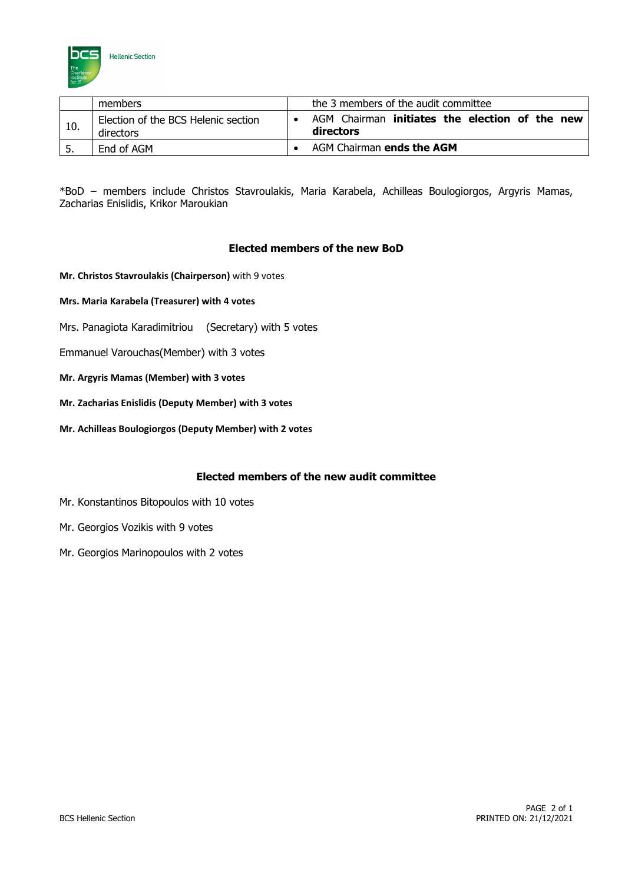

|     | members                                          |  | the 3 members of the audit committee                        |  |  |  |  |
|-----|--------------------------------------------------|--|-------------------------------------------------------------|--|--|--|--|
| 10. | Election of the BCS Helenic section<br>directors |  | AGM Chairman initiates the election of the new<br>directors |  |  |  |  |
| 5.  | End of AGM                                       |  | AGM Chairman ends the AGM                                   |  |  |  |  |

\*BoD – members include Christos Stavroulakis, Maria Karabela, Achilleas Boulogiorgos, Argyris Mamas, Zacharias Enislidis, Krikor Maroukian

## **Elected members of the new BoD**

- **Mr. Christos Stavroulakis (Chairperson)** with 9 votes
- **Mrs. Maria Karabela (Treasurer) with 4 votes**
- Mrs. Panagiota Karadimitriou (Secretary) with 5 votes
- Emmanuel Varouchas(Member) with 3 votes
- **Mr. Argyris Mamas (Member) with 3 votes**
- **Mr. Zacharias Enislidis (Deputy Member) with 3 votes**
- **Mr. Achilleas Boulogiorgos (Deputy Member) with 2 votes**

## **Elected members of the new audit committee**

- Mr. Konstantinos Bitopoulos with 10 votes
- Mr. Georgios Vozikis with 9 votes
- Mr. Georgios Marinopoulos with 2 votes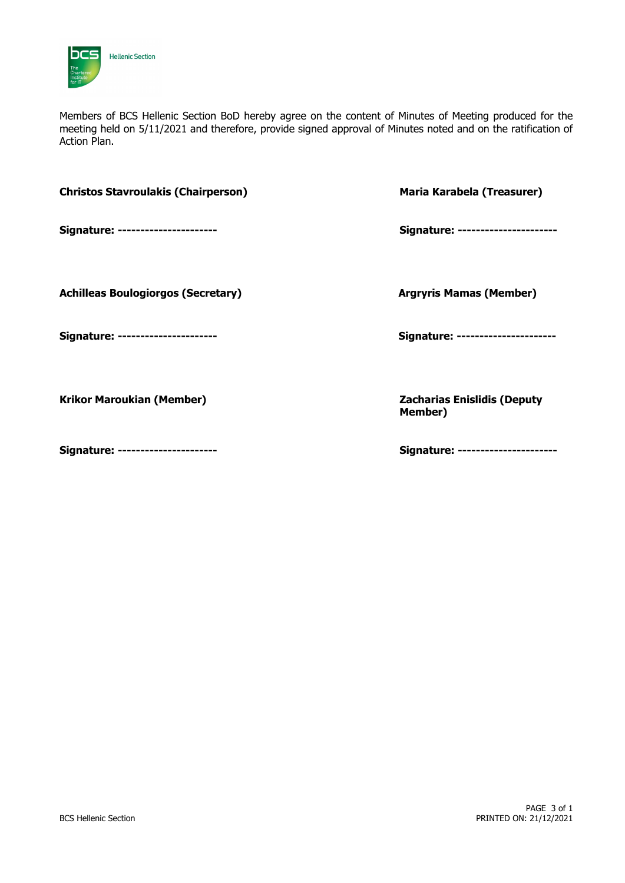

Members of BCS Hellenic Section BoD hereby agree on the content of Minutes of Meeting produced for the meeting held on 5/11/2021 and therefore, provide signed approval of Minutes noted and on the ratification of Action Plan.

| <b>Christos Stavroulakis (Chairperson)</b> | Maria Karabela (Treasurer)                           |
|--------------------------------------------|------------------------------------------------------|
| Signature: ---------------------           | Signature: ---------------------                     |
| <b>Achilleas Boulogiorgos (Secretary)</b>  | <b>Argryris Mamas (Member)</b>                       |
| Signature: ---------------------           | Signature: ---------------------                     |
| <b>Krikor Maroukian (Member)</b>           | <b>Zacharias Enislidis (Deputy</b><br><b>Member)</b> |
| Signature: ---------------------           | Signature: ---------------------                     |